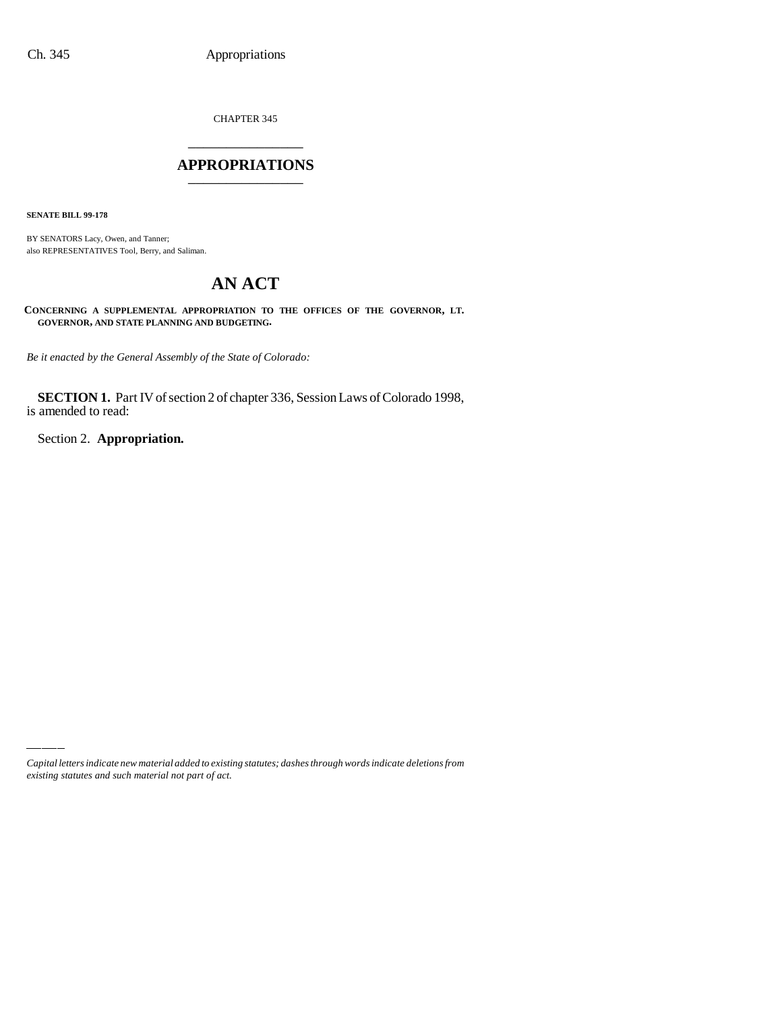CHAPTER 345 \_\_\_\_\_\_\_\_\_\_\_\_\_\_\_

#### **APPROPRIATIONS** \_\_\_\_\_\_\_\_\_\_\_\_\_\_\_

**SENATE BILL 99-178**

BY SENATORS Lacy, Owen, and Tanner; also REPRESENTATIVES Tool, Berry, and Saliman.

# **AN ACT**

**CONCERNING A SUPPLEMENTAL APPROPRIATION TO THE OFFICES OF THE GOVERNOR, LT. GOVERNOR, AND STATE PLANNING AND BUDGETING.**

*Be it enacted by the General Assembly of the State of Colorado:*

**SECTION 1.** Part IV of section 2 of chapter 336, Session Laws of Colorado 1998, is amended to read:

Section 2. **Appropriation.**

*Capital letters indicate new material added to existing statutes; dashes through words indicate deletions from existing statutes and such material not part of act.*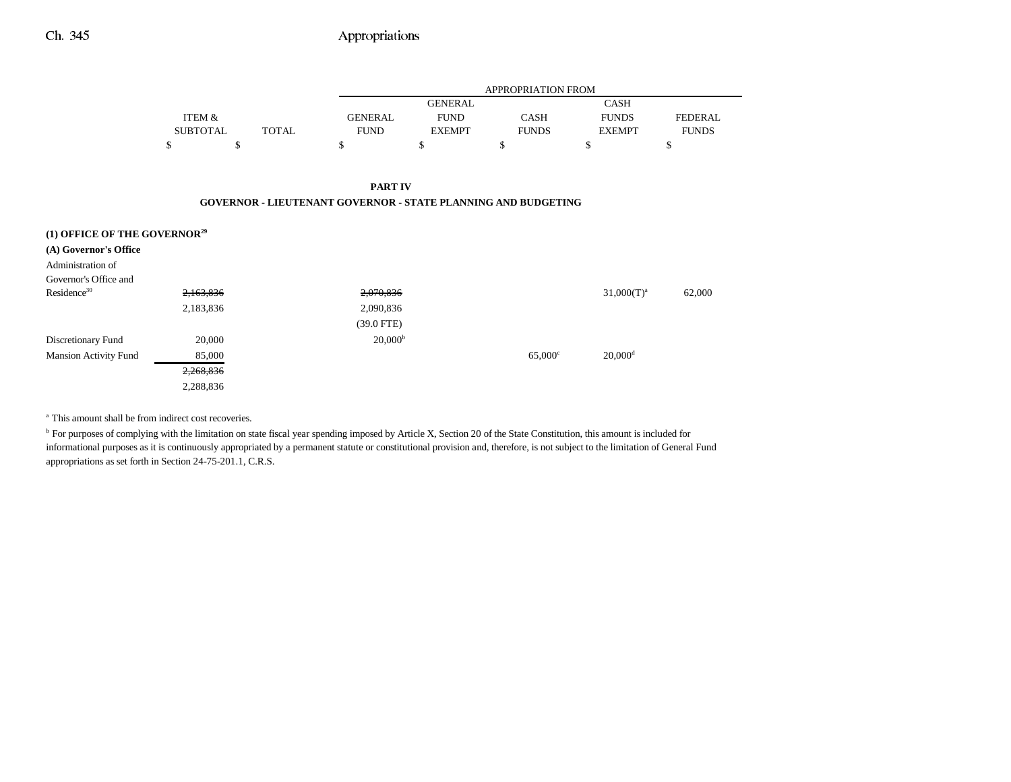### Ch. 345 Appropriations

|                                          |                 |              |                                                                      | <b>APPROPRIATION FROM</b> |                  |                       |                |  |
|------------------------------------------|-----------------|--------------|----------------------------------------------------------------------|---------------------------|------------------|-----------------------|----------------|--|
|                                          |                 |              |                                                                      | <b>GENERAL</b>            |                  | <b>CASH</b>           |                |  |
|                                          | ITEM &          |              | <b>GENERAL</b>                                                       | <b>FUND</b>               | <b>CASH</b>      | <b>FUNDS</b>          | <b>FEDERAL</b> |  |
|                                          | <b>SUBTOTAL</b> | <b>TOTAL</b> | <b>FUND</b>                                                          | <b>EXEMPT</b>             | <b>FUNDS</b>     | <b>EXEMPT</b>         | <b>FUNDS</b>   |  |
|                                          | \$              | \$           | \$                                                                   | \$                        | \$               | \$                    | \$             |  |
|                                          |                 |              |                                                                      |                           |                  |                       |                |  |
|                                          |                 |              | <b>PART IV</b>                                                       |                           |                  |                       |                |  |
|                                          |                 |              | <b>GOVERNOR - LIEUTENANT GOVERNOR - STATE PLANNING AND BUDGETING</b> |                           |                  |                       |                |  |
|                                          |                 |              |                                                                      |                           |                  |                       |                |  |
| (1) OFFICE OF THE GOVERNOR <sup>29</sup> |                 |              |                                                                      |                           |                  |                       |                |  |
| (A) Governor's Office                    |                 |              |                                                                      |                           |                  |                       |                |  |
| Administration of                        |                 |              |                                                                      |                           |                  |                       |                |  |
| Governor's Office and                    |                 |              |                                                                      |                           |                  |                       |                |  |
| Residence <sup>30</sup>                  | 2,163,836       |              | 2,070,836                                                            |                           |                  | $31,000(T)^{a}$       | 62,000         |  |
|                                          | 2,183,836       |              | 2,090,836                                                            |                           |                  |                       |                |  |
|                                          |                 |              | $(39.0$ FTE)                                                         |                           |                  |                       |                |  |
| Discretionary Fund                       | 20,000          |              | 20,000 <sup>b</sup>                                                  |                           |                  |                       |                |  |
| <b>Mansion Activity Fund</b>             | 85,000          |              |                                                                      |                           | $65,000^{\circ}$ | $20,000$ <sup>d</sup> |                |  |
|                                          | 2,268,836       |              |                                                                      |                           |                  |                       |                |  |

<sup>a</sup> This amount shall be from indirect cost recoveries.

2,288,836

<sup>b</sup> For purposes of complying with the limitation on state fiscal year spending imposed by Article X, Section 20 of the State Constitution, this amount is included for informational purposes as it is continuously appropriated by a permanent statute or constitutional provision and, therefore, is not subject to the limitation of General Fund appropriations as set forth in Section 24-75-201.1, C.R.S.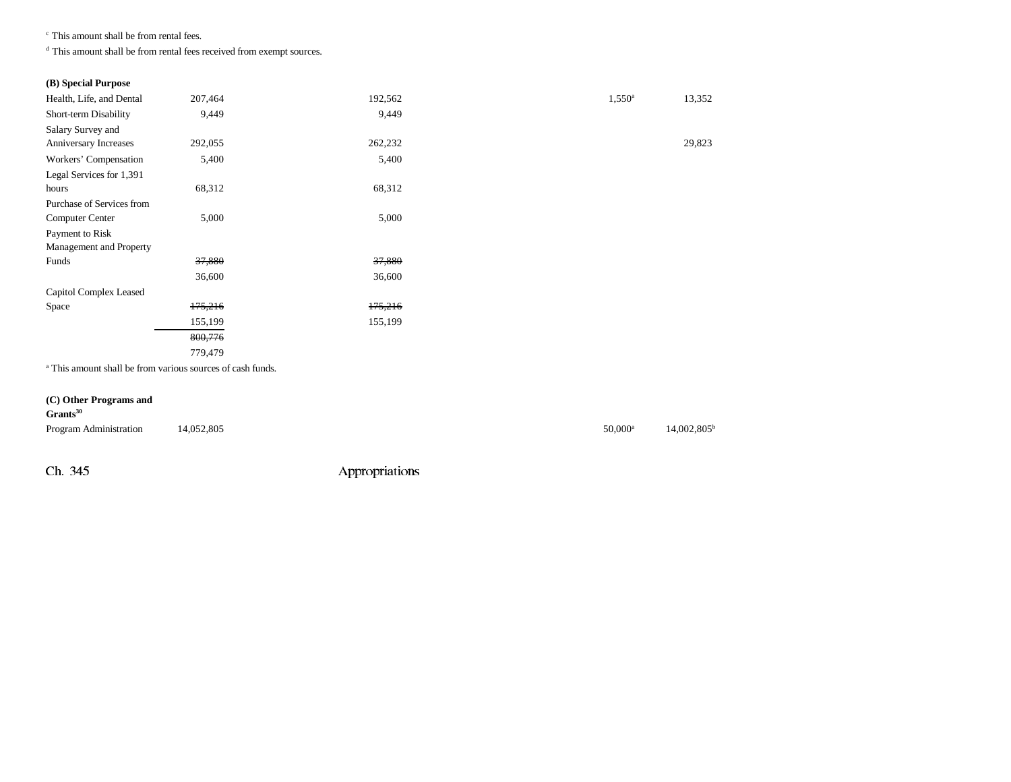c This amount shall be from rental fees.

d This amount shall be from rental fees received from exempt sources.

#### **(B) Special Purpose**

| Health, Life, and Dental  | 207,464 | 192,562 | $1,550^{\circ}$ | 13,352 |
|---------------------------|---------|---------|-----------------|--------|
| Short-term Disability     | 9,449   | 9,449   |                 |        |
| Salary Survey and         |         |         |                 |        |
| Anniversary Increases     | 292,055 | 262,232 |                 | 29,823 |
| Workers' Compensation     | 5,400   | 5,400   |                 |        |
| Legal Services for 1,391  |         |         |                 |        |
| hours                     | 68,312  | 68,312  |                 |        |
| Purchase of Services from |         |         |                 |        |
| <b>Computer Center</b>    | 5,000   | 5,000   |                 |        |
| Payment to Risk           |         |         |                 |        |
| Management and Property   |         |         |                 |        |
| Funds                     | 37,880  | 37,880  |                 |        |
|                           | 36,600  | 36,600  |                 |        |
| Capitol Complex Leased    |         |         |                 |        |
| Space                     | 175,216 | 175,216 |                 |        |
|                           | 155,199 | 155,199 |                 |        |
|                           | 800,776 |         |                 |        |
|                           | 779,479 |         |                 |        |

a This amount shall be from various sources of cash funds.

#### **(C) Other Programs and**

#### **Grants<sup>30</sup>**

| Program Administration 14,052,805 | $50,000^{\rm a}$ | $14,002,805^{\rm b}$ |
|-----------------------------------|------------------|----------------------|
|                                   |                  |                      |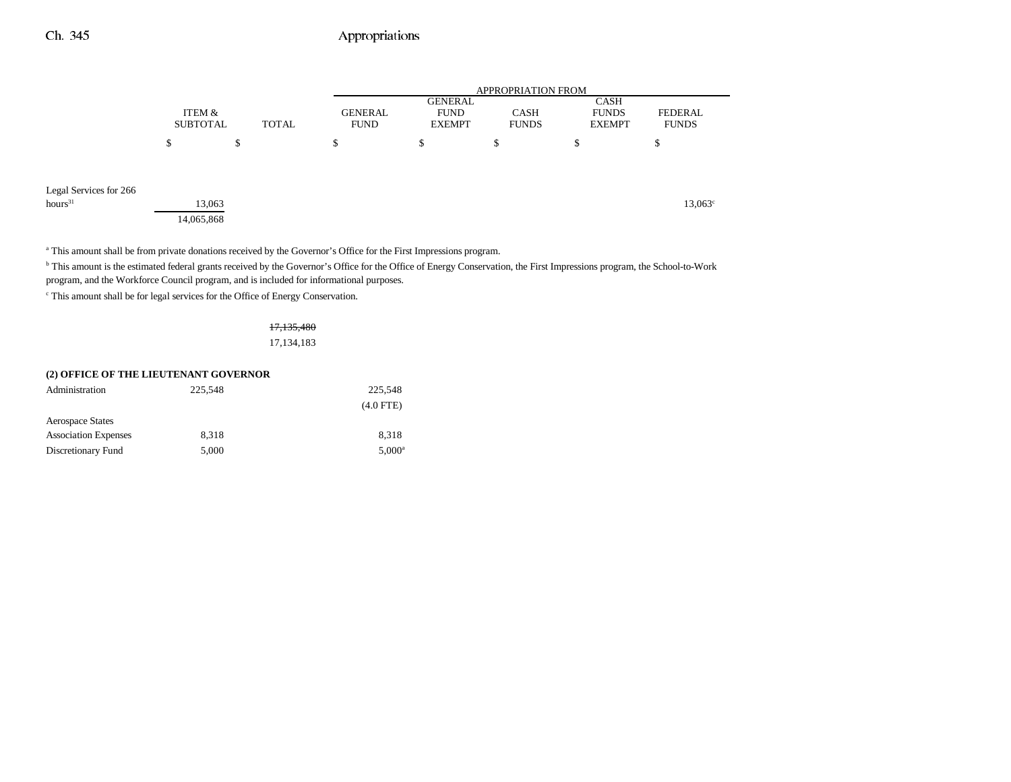# Ch. 345 Appropriations

|                        |                 |              | APPROPRIATION FROM |                |              |               |                  |
|------------------------|-----------------|--------------|--------------------|----------------|--------------|---------------|------------------|
|                        |                 |              |                    | <b>GENERAL</b> |              | CASH          |                  |
|                        | ITEM &          |              | <b>GENERAL</b>     | <b>FUND</b>    | <b>CASH</b>  | <b>FUNDS</b>  | <b>FEDERAL</b>   |
|                        | <b>SUBTOTAL</b> | <b>TOTAL</b> | <b>FUND</b>        | <b>EXEMPT</b>  | <b>FUNDS</b> | <b>EXEMPT</b> | <b>FUNDS</b>     |
|                        | J.              | \$           | Φ                  | \$             | \$           | ¢<br>D        | \$               |
| Legal Services for 266 |                 |              |                    |                |              |               |                  |
| hours <sup>31</sup>    | 13,063          |              |                    |                |              |               | $13,063^{\circ}$ |
|                        | 14,065,868      |              |                    |                |              |               |                  |

<sup>a</sup> This amount shall be from private donations received by the Governor's Office for the First Impressions program.

<sup>b</sup> This amount is the estimated federal grants received by the Governor's Office for the Office of Energy Conservation, the First Impressions program, the School-to-Work program, and the Workforce Council program, and is included for informational purposes.

 $^{\mathrm{c}}$  This amount shall be for legal services for the Office of Energy Conservation.

17,135,480 17,134,183

| (2) OFFICE OF THE LIEUTENANT GOVERNOR |         |                 |  |  |  |
|---------------------------------------|---------|-----------------|--|--|--|
| Administration                        | 225.548 | 225,548         |  |  |  |
|                                       |         | $(4.0$ FTE)     |  |  |  |
| <b>Aerospace States</b>               |         |                 |  |  |  |
| <b>Association Expenses</b>           | 8.318   | 8.318           |  |  |  |
| Discretionary Fund                    | 5.000   | $5.000^{\circ}$ |  |  |  |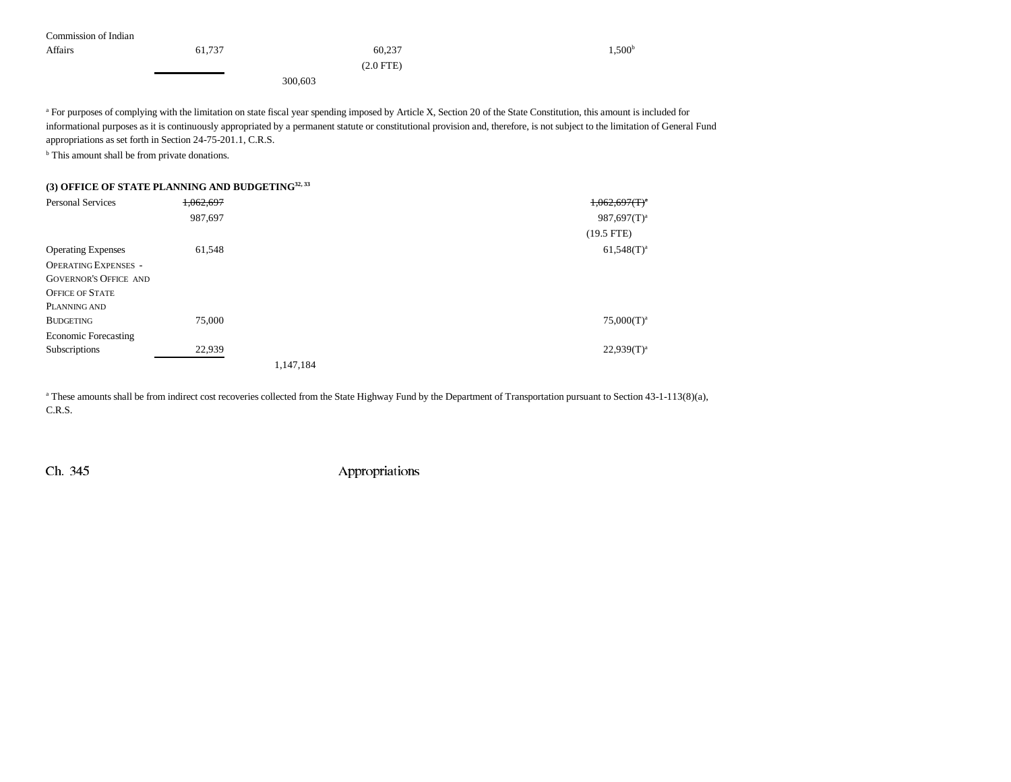| Commission of Indian |        |             |                    |
|----------------------|--------|-------------|--------------------|
| <b>Affairs</b>       | 61,737 | 60,237      | 1,500 <sup>b</sup> |
|                      |        | $(2.0$ FTE) |                    |
|                      |        | 300,603     |                    |

<sup>a</sup> For purposes of complying with the limitation on state fiscal year spending imposed by Article X, Section 20 of the State Constitution, this amount is included for informational purposes as it is continuously appropriated by a permanent statute or constitutional provision and, therefore, is not subject to the limitation of General Fund appropriations as set forth in Section 24-75-201.1, C.R.S.

<sup>b</sup> This amount shall be from private donations.

### **(3) OFFICE OF STATE PLANNING AND BUDGETING32, 33**

| <b>Personal Services</b>     | 1,062,697 |           | $1,062,697(T)^4$ |
|------------------------------|-----------|-----------|------------------|
|                              | 987,697   |           | $987,697(T)^a$   |
|                              |           |           | $(19.5$ FTE)     |
| <b>Operating Expenses</b>    | 61,548    |           | $61,548(T)^{a}$  |
| <b>OPERATING EXPENSES -</b>  |           |           |                  |
| <b>GOVERNOR'S OFFICE AND</b> |           |           |                  |
| <b>OFFICE OF STATE</b>       |           |           |                  |
| PLANNING AND                 |           |           |                  |
| <b>BUDGETING</b>             | 75,000    |           | $75,000(T)^a$    |
| <b>Economic Forecasting</b>  |           |           |                  |
| Subscriptions                | 22,939    |           | $22,939(T)^a$    |
|                              |           | 1,147,184 |                  |

<sup>a</sup> These amounts shall be from indirect cost recoveries collected from the State Highway Fund by the Department of Transportation pursuant to Section 43-1-113(8)(a), C.R.S.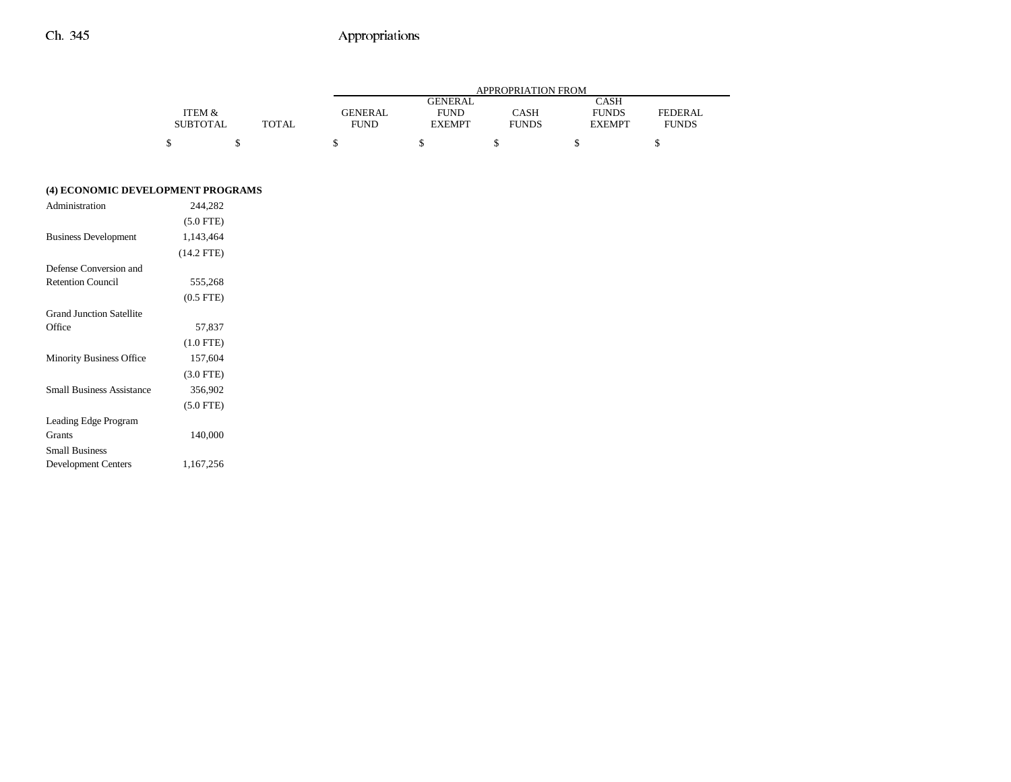# Ch. 345 Appropriations

|                 |              |             | APPROPRIATION FROM |              |               |                |  |  |
|-----------------|--------------|-------------|--------------------|--------------|---------------|----------------|--|--|
|                 |              |             | <b>GENERAL</b>     |              | CASH          |                |  |  |
| ITEM &          |              | GENERAL     | <b>FUND</b>        | CASH         | <b>FUNDS</b>  | <b>FEDERAL</b> |  |  |
| <b>SUBTOTAL</b> | <b>TOTAL</b> | <b>FUND</b> | <b>EXEMPT</b>      | <b>FUNDS</b> | <b>EXEMPT</b> | <b>FUNDS</b>   |  |  |
|                 |              |             |                    |              |               |                |  |  |
|                 |              |             |                    |              |               |                |  |  |

#### **(4) ECONOMIC DEVELOPMENT PROGRAMS**

| $(5.0$ FTE)    |         |
|----------------|---------|
| 1,143,464      |         |
| $(14.2$ FTE)   |         |
|                |         |
| 555,268        |         |
| $(0.5$ FTE $)$ |         |
|                |         |
| 57,837         |         |
| $(1.0$ FTE)    |         |
| 157,604        |         |
| $(3.0$ FTE)    |         |
| 356,902        |         |
| $(5.0$ FTE)    |         |
|                |         |
| 140,000        |         |
|                |         |
| 1,167,256      |         |
|                | 244.282 |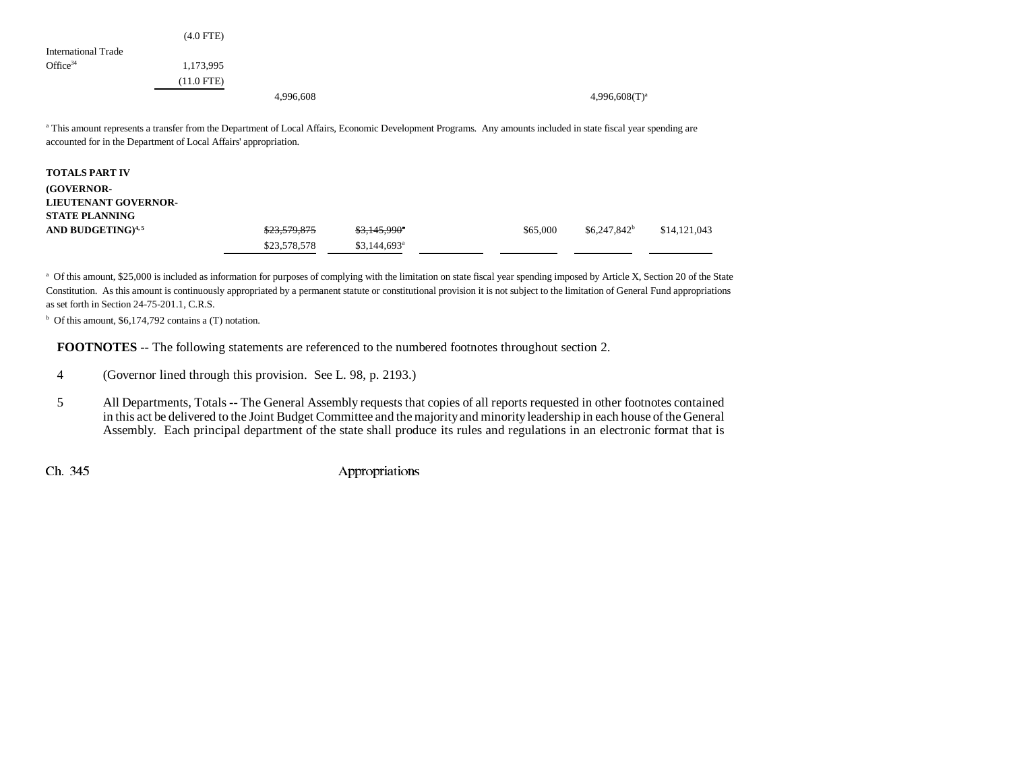|                     | $(4.0$ FTE)  |           |                    |
|---------------------|--------------|-----------|--------------------|
| International Trade |              |           |                    |
| Office $34$         | 1,173,995    |           |                    |
|                     | $(11.0$ FTE) |           |                    |
|                     |              | 4,996,608 | $4,996,608(T)^{a}$ |

<sup>a</sup> This amount represents a transfer from the Department of Local Affairs, Economic Development Programs. Any amounts included in state fiscal year spending are accounted for in the Department of Local Affairs' appropriation.

| <b>TOTALS PART IV</b>         |                         |                           |          |                |              |
|-------------------------------|-------------------------|---------------------------|----------|----------------|--------------|
| <b>(GOVERNOR-</b>             |                         |                           |          |                |              |
| <b>LIEUTENANT GOVERNOR-</b>   |                         |                           |          |                |              |
| <b>STATE PLANNING</b>         |                         |                           |          |                |              |
| AND BUDGETING) <sup>4,5</sup> | <del>\$23,579,875</del> | $$3,145,990$ <sup>*</sup> | \$65,000 | $$6.247.842^b$ | \$14,121,043 |
|                               | \$23,578,578            | $$3,144,693$ <sup>a</sup> |          |                |              |
|                               |                         |                           |          |                |              |

a Of this amount, \$25,000 is included as information for purposes of complying with the limitation on state fiscal year spending imposed by Article X, Section 20 of the State Constitution. As this amount is continuously appropriated by a permanent statute or constitutional provision it is not subject to the limitation of General Fund appropriations as set forth in Section 24-75-201.1, C.R.S.

 $<sup>b</sup>$  Of this amount, \$6,174,792 contains a (T) notation.</sup>

**FOOTNOTES** -- The following statements are referenced to the numbered footnotes throughout section 2.

- 4 (Governor lined through this provision. See L. 98, p. 2193.)
- 5 All Departments, Totals -- The General Assembly requests that copies of all reports requested in other footnotes contained in this act be delivered to the Joint Budget Committee and the majority and minority leadership in each house of the General Assembly. Each principal department of the state shall produce its rules and regulations in an electronic format that is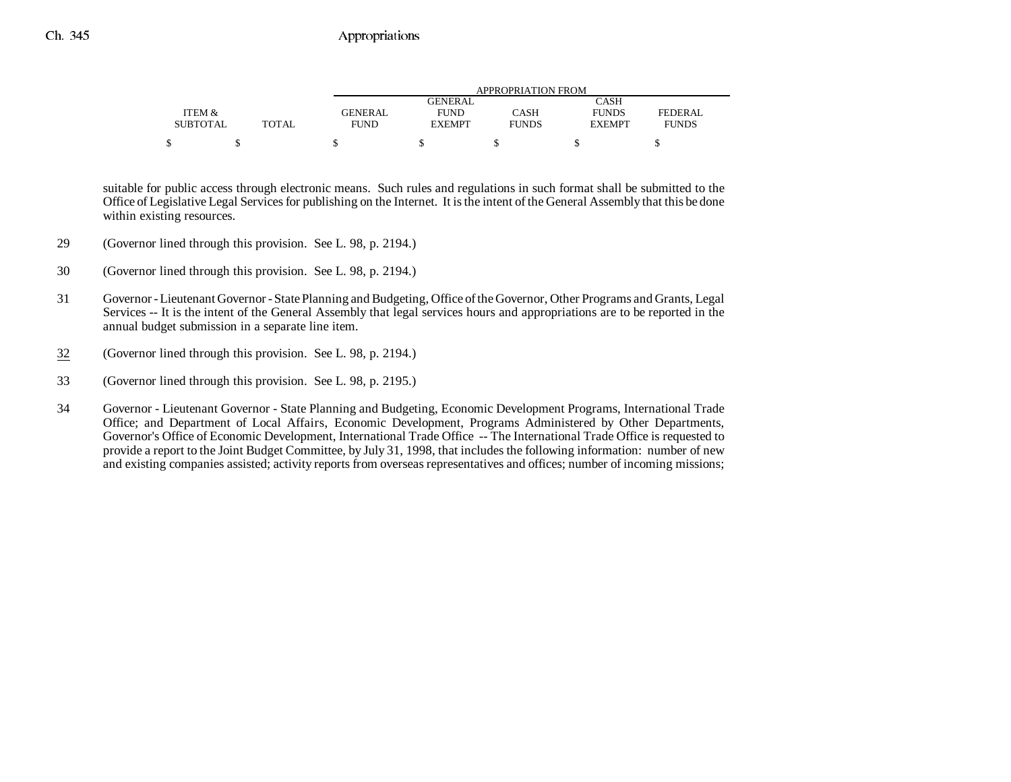|                 |              |                | APPROPRIATION FROM |              |               |                |  |  |
|-----------------|--------------|----------------|--------------------|--------------|---------------|----------------|--|--|
|                 |              |                | GENERAL            |              | CASH          |                |  |  |
| ITEM &          |              | <b>GENERAL</b> | <b>FUND</b>        | <b>CASH</b>  | <b>FUNDS</b>  | <b>FEDERAL</b> |  |  |
| <b>SUBTOTAL</b> | <b>TOTAL</b> | <b>FUND</b>    | <b>EXEMPT</b>      | <b>FUNDS</b> | <b>EXEMPT</b> | <b>FUNDS</b>   |  |  |
|                 |              |                |                    |              |               |                |  |  |

suitable for public access through electronic means. Such rules and regulations in such format shall be submitted to the Office of Legislative Legal Services for publishing on the Internet. It is the intent of the General Assembly that this be done within existing resources.

- 29 (Governor lined through this provision. See L. 98, p. 2194.)
- 30 (Governor lined through this provision. See L. 98, p. 2194.)
- 31 Governor Lieutenant Governor State Planning and Budgeting, Office of the Governor, Other Programs and Grants, Legal Services -- It is the intent of the General Assembly that legal services hours and appropriations are to be reported in the annual budget submission in a separate line item.
- 32(Governor lined through this provision. See L. 98, p. 2194.)
- 33 (Governor lined through this provision. See L. 98, p. 2195.)
- 34 Governor Lieutenant Governor State Planning and Budgeting, Economic Development Programs, International Trade Office; and Department of Local Affairs, Economic Development, Programs Administered by Other Departments, Governor's Office of Economic Development, International Trade Office -- The International Trade Office is requested to provide a report to the Joint Budget Committee, by July 31, 1998, that includes the following information: number of new and existing companies assisted; activity reports from overseas representatives and offices; number of incoming missions;